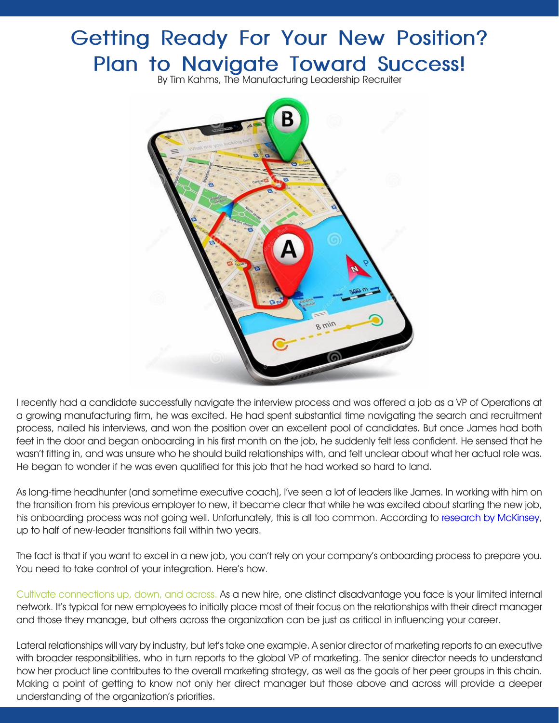## **Getting Ready For Your New Position? Plan to Navigate Toward Success!**

By Tim Kahms, The Manufacturing Leadership Recruiter



I recently had a candidate successfully navigate the interview process and was offered a job as a VP of Operations at a growing manufacturing firm, he was excited. He had spent substantial time navigating the search and recruitment process, nailed his interviews, and won the position over an excellent pool of candidates. But once James had both feet in the door and began onboarding in his first month on the job, he suddenly felt less confident. He sensed that he wasn't fitting in, and was unsure who he should build relationships with, and felt unclear about what her actual role was. He began to wonder if he was even qualified for this job that he had worked so hard to land.

As long-time headhunter (and sometime executive coach), I've seen a lot of leaders like James. In working with him on the transition from his previous employer to new, it became clear that while he was excited about starting the new job, his onboarding process was not going well. Unfortunately, this is all too common. According to [research by McKinsey,](https://www.mckinsey.com/business-functions/organization/our-insights/successfully-transitioning-to-new-leadership-roles) up to half of new-leader transitions fail within two years.

The fact is that if you want to excel in a new job, you can't rely on your company's onboarding process to prepare you. You need to take control of your integration. Here's how.

Cultivate connections up, down, and across. As a new hire, one distinct disadvantage you face is your limited internal network. It's typical for new employees to initially place most of their focus on the relationships with their direct manager and those they manage, but others across the organization can be just as critical in influencing your career.

Lateral relationships will vary by industry, but let's take one example. A senior director of marketing reports to an executive with broader responsibilities, who in turn reports to the global VP of marketing. The senior director needs to understand how her product line contributes to the overall marketing strategy, as well as the goals of her peer groups in this chain. Making a point of getting to know not only her direct manager but those above and across will provide a deeper understanding of the organization's priorities.